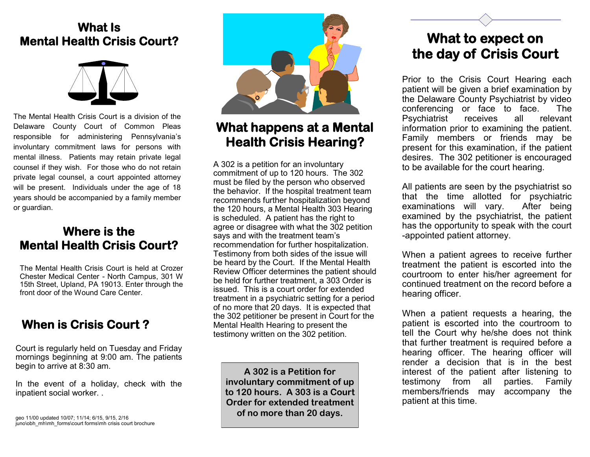## **What Is Mental Health Crisis Court?**



The Mental Health Crisis Court is a division of the Delaware County Court of Common Pleas responsible for administering Pennsylvania's involuntary commitment laws for persons with mental illness. Patients may retain private legal counsel if they wish. For those who do not retain private legal counsel, a court appointed attorney will be present. Individuals under the age of 18 years should be accompanied by a family member or guardian.

### **Where is the Mental Health Crisis Court?**

The Mental Health Crisis Court is held at Crozer Chester Medical Center - North Campus, 301 W 15th Street, Upland, PA 19013. Enter through the front door of the Wound Care Center.

## **When is Crisis Court ?**

Court is regularly held on Tuesday and Friday mornings beginning at 9:00 am. The patients begin to arrive at 8:30 am.

In the event of a holiday, check with the inpatient social worker. .



## **What happens at a Mental Health Crisis Hearing?**

A 302 is a petition for an involuntary commitment of up to 120 hours. The 302 must be filed by the person who observed the behavior. If the hospital treatment team recommends further hospitalization beyond the 120 hours, a Mental Health 303 Hearing is scheduled. A patient has the right to agree or disagree with what the 302 petition says and with the treatment team's recommendation for further hospitalization. Testimony from both sides of the issue will be heard by the Court. If the Mental Health Review Officer determines the patient should be held for further treatment, a 303 Order is issued. This is a court order for extended treatment in a psychiatric setting for a period of no more that 20 days. It is expected that the 302 petitioner be present in Court for the Mental Health Hearing to present the testimony written on the 302 petition.

**A 302 is a Petition for involuntary commitment of up to 120 hours. A 303 is a Court Order for extended treatment of no more than 20 days.**

## **What to expect on the day of Crisis Court**

Prior to the Crisis Court Hearing each patient will be given a brief examination by the Delaware County Psychiatrist by video conferencing or face to face. The Psychiatrist receives all relevant information prior to examining the patient. Family members or friends may be present for this examination, if the patient desires. The 302 petitioner is encouraged to be available for the court hearing.

All patients are seen by the psychiatrist so that the time allotted for psychiatric examinations will vary. After being examined by the psychiatrist, the patient has the opportunity to speak with the court -appointed patient attorney.

When a patient agrees to receive further treatment the patient is escorted into the courtroom to enter his/her agreement for continued treatment on the record before a hearing officer.

When a patient requests a hearing, the patient is escorted into the courtroom to tell the Court why he/she does not think that further treatment is required before a hearing officer. The hearing officer will render a decision that is in the best interest of the patient after listening to testimony from all parties. Family members/friends may accompany the patient at this time.